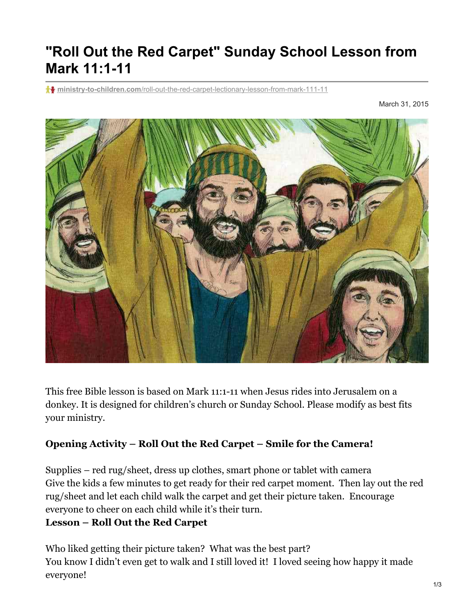# **"Roll Out the Red Carpet" Sunday School Lesson from Mark 11:1-11**

**ministry-to-children.com**[/roll-out-the-red-carpet-lectionary-lesson-from-mark-111-11](https://ministry-to-children.com/roll-out-the-red-carpet-lectionary-lesson-from-mark-111-11/)

March 31, 2015



This free Bible lesson is based on Mark 11:1-11 when Jesus rides into Jerusalem on a donkey. It is designed for children's church or Sunday School. Please modify as best fits your ministry.

#### **Opening Activity – Roll Out the Red Carpet – Smile for the Camera!**

Supplies – red rug/sheet, dress up clothes, smart phone or tablet with camera Give the kids a few minutes to get ready for their red carpet moment. Then lay out the red rug/sheet and let each child walk the carpet and get their picture taken. Encourage everyone to cheer on each child while it's their turn.

#### **Lesson – Roll Out the Red Carpet**

Who liked getting their picture taken? What was the best part? You know I didn't even get to walk and I still loved it! I loved seeing how happy it made everyone!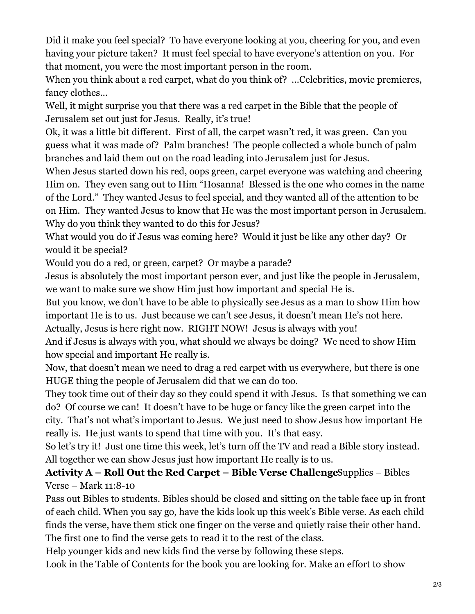Did it make you feel special? To have everyone looking at you, cheering for you, and even having your picture taken? It must feel special to have everyone's attention on you. For that moment, you were the most important person in the room.

When you think about a red carpet, what do you think of? ... Celebrities, movie premieres, fancy clothes…

Well, it might surprise you that there was a red carpet in the Bible that the people of Jerusalem set out just for Jesus. Really, it's true!

Ok, it was a little bit different. First of all, the carpet wasn't red, it was green. Can you guess what it was made of? Palm branches! The people collected a whole bunch of palm branches and laid them out on the road leading into Jerusalem just for Jesus.

When Jesus started down his red, oops green, carpet everyone was watching and cheering Him on. They even sang out to Him "Hosanna! Blessed is the one who comes in the name of the Lord." They wanted Jesus to feel special, and they wanted all of the attention to be on Him. They wanted Jesus to know that He was the most important person in Jerusalem. Why do you think they wanted to do this for Jesus?

What would you do if Jesus was coming here? Would it just be like any other day? Or would it be special?

Would you do a red, or green, carpet? Or maybe a parade?

Jesus is absolutely the most important person ever, and just like the people in Jerusalem, we want to make sure we show Him just how important and special He is.

But you know, we don't have to be able to physically see Jesus as a man to show Him how important He is to us. Just because we can't see Jesus, it doesn't mean He's not here.

Actually, Jesus is here right now. RIGHT NOW! Jesus is always with you!

And if Jesus is always with you, what should we always be doing? We need to show Him how special and important He really is.

Now, that doesn't mean we need to drag a red carpet with us everywhere, but there is one HUGE thing the people of Jerusalem did that we can do too.

They took time out of their day so they could spend it with Jesus. Is that something we can do? Of course we can! It doesn't have to be huge or fancy like the green carpet into the city. That's not what's important to Jesus. We just need to show Jesus how important He really is. He just wants to spend that time with you. It's that easy.

So let's try it! Just one time this week, let's turn off the TV and read a Bible story instead. All together we can show Jesus just how important He really is to us.

## **Activity A – Roll Out the Red Carpet – Bible Verse Challenge**Supplies – Bibles Verse – Mark 11:8-10

Pass out Bibles to students. Bibles should be closed and sitting on the table face up in front of each child. When you say go, have the kids look up this week's Bible verse. As each child finds the verse, have them stick one finger on the verse and quietly raise their other hand. The first one to find the verse gets to read it to the rest of the class.

Help younger kids and new kids find the verse by following these steps.

Look in the Table of Contents for the book you are looking for. Make an effort to show